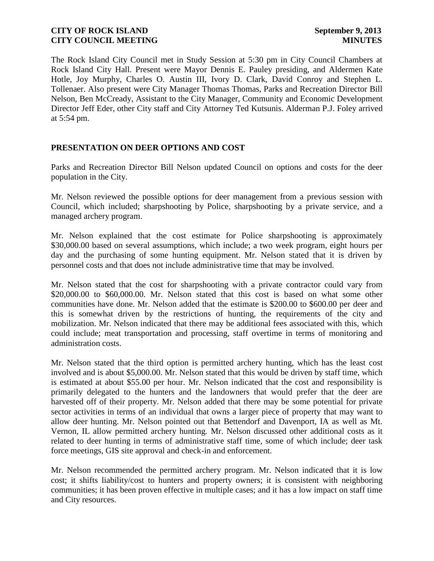The Rock Island City Council met in Study Session at 5:30 pm in City Council Chambers at Rock Island City Hall. Present were Mayor Dennis E. Pauley presiding, and Aldermen Kate Hotle, Joy Murphy, Charles O. Austin III, Ivory D. Clark, David Conroy and Stephen L. Tollenaer. Also present were City Manager Thomas Thomas, Parks and Recreation Director Bill Nelson, Ben McCready, Assistant to the City Manager, Community and Economic Development Director Jeff Eder, other City staff and City Attorney Ted Kutsunis. Alderman P.J. Foley arrived at 5:54 pm.

# **PRESENTATION ON DEER OPTIONS AND COST**

Parks and Recreation Director Bill Nelson updated Council on options and costs for the deer population in the City.

Mr. Nelson reviewed the possible options for deer management from a previous session with Council, which included; sharpshooting by Police, sharpshooting by a private service, and a managed archery program.

Mr. Nelson explained that the cost estimate for Police sharpshooting is approximately \$30,000.00 based on several assumptions, which include; a two week program, eight hours per day and the purchasing of some hunting equipment. Mr. Nelson stated that it is driven by personnel costs and that does not include administrative time that may be involved.

Mr. Nelson stated that the cost for sharpshooting with a private contractor could vary from \$20,000.00 to \$60,000.00. Mr. Nelson stated that this cost is based on what some other communities have done. Mr. Nelson added that the estimate is \$200.00 to \$600.00 per deer and this is somewhat driven by the restrictions of hunting, the requirements of the city and mobilization. Mr. Nelson indicated that there may be additional fees associated with this, which could include; meat transportation and processing, staff overtime in terms of monitoring and administration costs.

Mr. Nelson stated that the third option is permitted archery hunting, which has the least cost involved and is about \$5,000.00. Mr. Nelson stated that this would be driven by staff time, which is estimated at about \$55.00 per hour. Mr. Nelson indicated that the cost and responsibility is primarily delegated to the hunters and the landowners that would prefer that the deer are harvested off of their property. Mr. Nelson added that there may be some potential for private sector activities in terms of an individual that owns a larger piece of property that may want to allow deer hunting. Mr. Nelson pointed out that Bettendorf and Davenport, IA as well as Mt. Vernon, IL allow permitted archery hunting. Mr. Nelson discussed other additional costs as it related to deer hunting in terms of administrative staff time, some of which include; deer task force meetings, GIS site approval and check-in and enforcement.

Mr. Nelson recommended the permitted archery program. Mr. Nelson indicated that it is low cost; it shifts liability/cost to hunters and property owners; it is consistent with neighboring communities; it has been proven effective in multiple cases; and it has a low impact on staff time and City resources.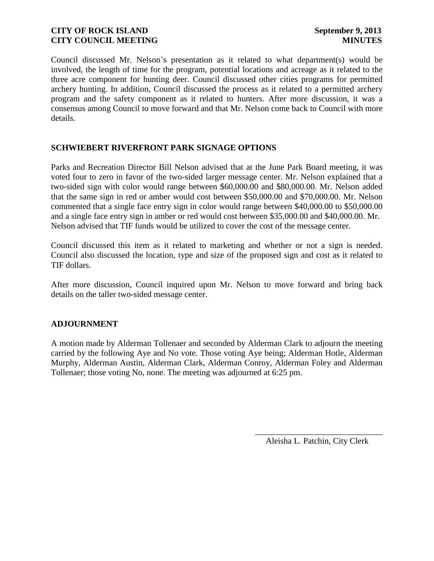Council discussed Mr. Nelson's presentation as it related to what department(s) would be involved, the length of time for the program, potential locations and acreage as it related to the three acre component for hunting deer. Council discussed other cities programs for permitted archery hunting. In addition, Council discussed the process as it related to a permitted archery program and the safety component as it related to hunters. After more discussion, it was a consensus among Council to move forward and that Mr. Nelson come back to Council with more details.

# **SCHWIEBERT RIVERFRONT PARK SIGNAGE OPTIONS**

Parks and Recreation Director Bill Nelson advised that at the June Park Board meeting, it was voted four to zero in favor of the two-sided larger message center. Mr. Nelson explained that a two-sided sign with color would range between \$60,000.00 and \$80,000.00. Mr. Nelson added that the same sign in red or amber would cost between \$50,000.00 and \$70,000.00. Mr. Nelson commented that a single face entry sign in color would range between \$40,000.00 to \$50,000.00 and a single face entry sign in amber or red would cost between \$35,000.00 and \$40,000.00. Mr. Nelson advised that TIF funds would be utilized to cover the cost of the message center.

Council discussed this item as it related to marketing and whether or not a sign is needed. Council also discussed the location, type and size of the proposed sign and cost as it related to TIF dollars.

After more discussion, Council inquired upon Mr. Nelson to move forward and bring back details on the taller two-sided message center.

# **ADJOURNMENT**

A motion made by Alderman Tollenaer and seconded by Alderman Clark to adjourn the meeting carried by the following Aye and No vote. Those voting Aye being; Alderman Hotle, Alderman Murphy, Alderman Austin, Alderman Clark, Alderman Conroy, Alderman Foley and Alderman Tollenaer; those voting No, none. The meeting was adjourned at 6:25 pm.

> \_\_\_\_\_\_\_\_\_\_\_\_\_\_\_\_\_\_\_\_\_\_\_\_\_\_\_\_\_\_ Aleisha L. Patchin, City Clerk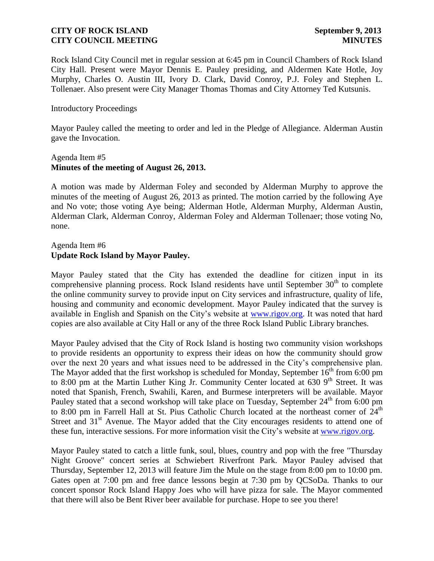Rock Island City Council met in regular session at 6:45 pm in Council Chambers of Rock Island City Hall. Present were Mayor Dennis E. Pauley presiding, and Aldermen Kate Hotle, Joy Murphy, Charles O. Austin III, Ivory D. Clark, David Conroy, P.J. Foley and Stephen L. Tollenaer. Also present were City Manager Thomas Thomas and City Attorney Ted Kutsunis.

### Introductory Proceedings

Mayor Pauley called the meeting to order and led in the Pledge of Allegiance. Alderman Austin gave the Invocation.

### Agenda Item #5 **Minutes of the meeting of August 26, 2013.**

A motion was made by Alderman Foley and seconded by Alderman Murphy to approve the minutes of the meeting of August 26, 2013 as printed. The motion carried by the following Aye and No vote; those voting Aye being; Alderman Hotle, Alderman Murphy, Alderman Austin, Alderman Clark, Alderman Conroy, Alderman Foley and Alderman Tollenaer; those voting No, none.

## Agenda Item #6 **Update Rock Island by Mayor Pauley.**

Mayor Pauley stated that the City has extended the deadline for citizen input in its comprehensive planning process. Rock Island residents have until September  $30<sup>th</sup>$  to complete the online community survey to provide input on City services and infrastructure, quality of life, housing and community and economic development. Mayor Pauley indicated that the survey is available in English and Spanish on the City's website at [www.rigov.org.](http://www.rigov.org/) It was noted that hard copies are also available at City Hall or any of the three Rock Island Public Library branches.

Mayor Pauley advised that the City of Rock Island is hosting two community vision workshops to provide residents an opportunity to express their ideas on how the community should grow over the next 20 years and what issues need to be addressed in the City's comprehensive plan. The Mayor added that the first workshop is scheduled for Monday, September  $16<sup>th</sup>$  from 6:00 pm to 8:00 pm at the Martin Luther King Jr. Community Center located at 630  $9<sup>th</sup>$  Street. It was noted that Spanish, French, Swahili, Karen, and Burmese interpreters will be available. Mayor Pauley stated that a second workshop will take place on Tuesday, September 24<sup>th</sup> from 6:00 pm to 8:00 pm in Farrell Hall at St. Pius Catholic Church located at the northeast corner of  $24<sup>th</sup>$ Street and  $31<sup>st</sup>$  Avenue. The Mayor added that the City encourages residents to attend one of these fun, interactive sessions. For more information visit the City's website at [www.rigov.org.](http://www.rigov.org/)

Mayor Pauley stated to catch a little funk, soul, blues, country and pop with the free "Thursday Night Groove" concert series at Schwiebert Riverfront Park. Mayor Pauley advised that Thursday, September 12, 2013 will feature Jim the Mule on the stage from 8:00 pm to 10:00 pm. Gates open at 7:00 pm and free dance lessons begin at 7:30 pm by QCSoDa. Thanks to our concert sponsor Rock Island Happy Joes who will have pizza for sale. The Mayor commented that there will also be Bent River beer available for purchase. Hope to see you there!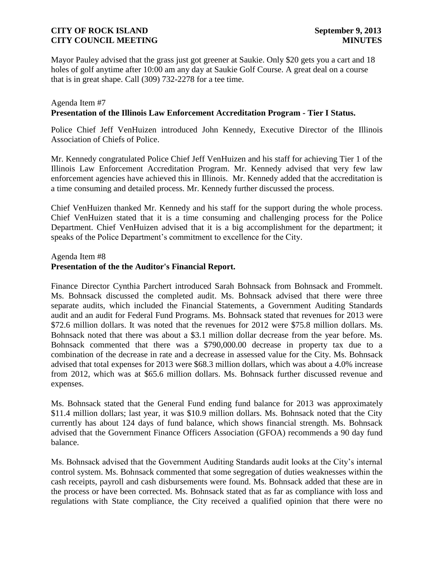Mayor Pauley advised that the grass just got greener at Saukie. Only \$20 gets you a cart and 18 holes of golf anytime after 10:00 am any day at Saukie Golf Course. A great deal on a course that is in great shape. Call (309) 732-2278 for a tee time.

## Agenda Item #7 **Presentation of the Illinois Law Enforcement Accreditation Program - Tier I Status.**

Police Chief Jeff VenHuizen introduced John Kennedy, Executive Director of the Illinois Association of Chiefs of Police.

Mr. Kennedy congratulated Police Chief Jeff VenHuizen and his staff for achieving Tier 1 of the Illinois Law Enforcement Accreditation Program. Mr. Kennedy advised that very few law enforcement agencies have achieved this in Illinois. Mr. Kennedy added that the accreditation is a time consuming and detailed process. Mr. Kennedy further discussed the process.

Chief VenHuizen thanked Mr. Kennedy and his staff for the support during the whole process. Chief VenHuizen stated that it is a time consuming and challenging process for the Police Department. Chief VenHuizen advised that it is a big accomplishment for the department; it speaks of the Police Department's commitment to excellence for the City.

#### Agenda Item #8 **Presentation of the the Auditor's Financial Report.**

Finance Director Cynthia Parchert introduced Sarah Bohnsack from Bohnsack and Frommelt. Ms. Bohnsack discussed the completed audit. Ms. Bohnsack advised that there were three separate audits, which included the Financial Statements, a Government Auditing Standards audit and an audit for Federal Fund Programs. Ms. Bohnsack stated that revenues for 2013 were \$72.6 million dollars. It was noted that the revenues for 2012 were \$75.8 million dollars. Ms. Bohnsack noted that there was about a \$3.1 million dollar decrease from the year before. Ms. Bohnsack commented that there was a \$790,000.00 decrease in property tax due to a combination of the decrease in rate and a decrease in assessed value for the City. Ms. Bohnsack advised that total expenses for 2013 were \$68.3 million dollars, which was about a 4.0% increase from 2012, which was at \$65.6 million dollars. Ms. Bohnsack further discussed revenue and expenses.

Ms. Bohnsack stated that the General Fund ending fund balance for 2013 was approximately \$11.4 million dollars; last year, it was \$10.9 million dollars. Ms. Bohnsack noted that the City currently has about 124 days of fund balance, which shows financial strength. Ms. Bohnsack advised that the Government Finance Officers Association (GFOA) recommends a 90 day fund balance.

Ms. Bohnsack advised that the Government Auditing Standards audit looks at the City's internal control system. Ms. Bohnsack commented that some segregation of duties weaknesses within the cash receipts, payroll and cash disbursements were found. Ms. Bohnsack added that these are in the process or have been corrected. Ms. Bohnsack stated that as far as compliance with loss and regulations with State compliance, the City received a qualified opinion that there were no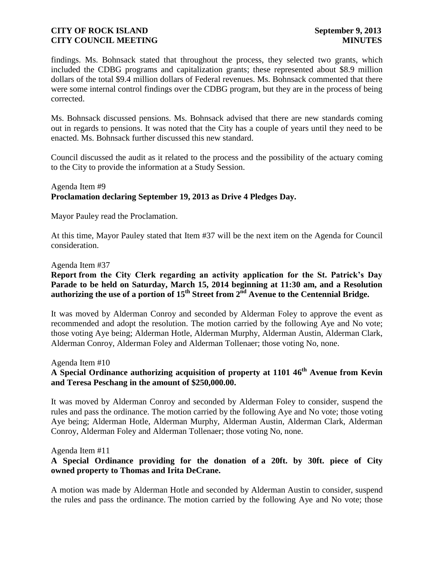findings. Ms. Bohnsack stated that throughout the process, they selected two grants, which included the CDBG programs and capitalization grants; these represented about \$8.9 million dollars of the total \$9.4 million dollars of Federal revenues. Ms. Bohnsack commented that there were some internal control findings over the CDBG program, but they are in the process of being corrected.

Ms. Bohnsack discussed pensions. Ms. Bohnsack advised that there are new standards coming out in regards to pensions. It was noted that the City has a couple of years until they need to be enacted. Ms. Bohnsack further discussed this new standard.

Council discussed the audit as it related to the process and the possibility of the actuary coming to the City to provide the information at a Study Session.

## Agenda Item #9 **Proclamation declaring September 19, 2013 as Drive 4 Pledges Day.**

Mayor Pauley read the Proclamation.

At this time, Mayor Pauley stated that Item #37 will be the next item on the Agenda for Council consideration.

### Agenda Item #37

# **Report from the City Clerk regarding an activity application for the St. Patrick's Day**  Parade to be held on Saturday, March 15, 2014 beginning at 11:30 am, and a Resolution **authorizing the use of a portion of 15th Street from 2nd Avenue to the Centennial Bridge.**

It was moved by Alderman Conroy and seconded by Alderman Foley to approve the event as recommended and adopt the resolution. The motion carried by the following Aye and No vote; those voting Aye being; Alderman Hotle, Alderman Murphy, Alderman Austin, Alderman Clark, Alderman Conroy, Alderman Foley and Alderman Tollenaer; those voting No, none.

Agenda Item #10

# A Special Ordinance authorizing acquisition of property at 1101 46<sup>th</sup> Avenue from Kevin **and Teresa Peschang in the amount of \$250,000.00.**

It was moved by Alderman Conroy and seconded by Alderman Foley to consider, suspend the rules and pass the ordinance. The motion carried by the following Aye and No vote; those voting Aye being; Alderman Hotle, Alderman Murphy, Alderman Austin, Alderman Clark, Alderman Conroy, Alderman Foley and Alderman Tollenaer; those voting No, none.

Agenda Item #11

# **A Special Ordinance providing for the donation of a 20ft. by 30ft. piece of City owned property to Thomas and Irita DeCrane.**

A motion was made by Alderman Hotle and seconded by Alderman Austin to consider, suspend the rules and pass the ordinance. The motion carried by the following Aye and No vote; those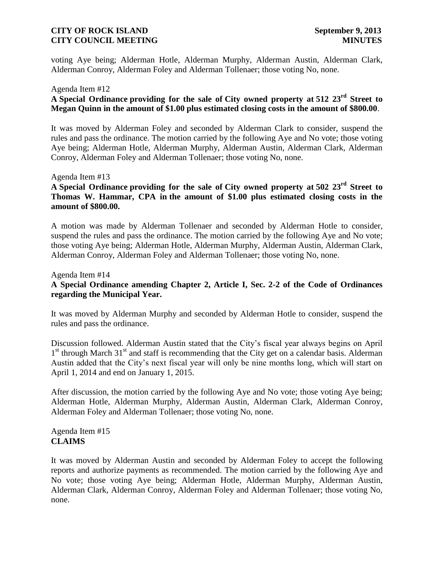voting Aye being; Alderman Hotle, Alderman Murphy, Alderman Austin, Alderman Clark, Alderman Conroy, Alderman Foley and Alderman Tollenaer; those voting No, none.

#### Agenda Item #12

# **A Special Ordinance providing for the sale of City owned property at 512 23rd Street to Megan Quinn in the amount of \$1.00 plus estimated closing costs in the amount of \$800.00**.

It was moved by Alderman Foley and seconded by Alderman Clark to consider, suspend the rules and pass the ordinance. The motion carried by the following Aye and No vote; those voting Aye being; Alderman Hotle, Alderman Murphy, Alderman Austin, Alderman Clark, Alderman Conroy, Alderman Foley and Alderman Tollenaer; those voting No, none.

#### Agenda Item #13

# **A Special Ordinance providing for the sale of City owned property at 502 23rd Street to Thomas W. Hammar, CPA in the amount of \$1.00 plus estimated closing costs in the amount of \$800.00.**

A motion was made by Alderman Tollenaer and seconded by Alderman Hotle to consider, suspend the rules and pass the ordinance. The motion carried by the following Aye and No vote; those voting Aye being; Alderman Hotle, Alderman Murphy, Alderman Austin, Alderman Clark, Alderman Conroy, Alderman Foley and Alderman Tollenaer; those voting No, none.

# Agenda Item #14 **A Special Ordinance amending Chapter 2, Article I, Sec. 2-2 of the Code of Ordinances regarding the Municipal Year.**

It was moved by Alderman Murphy and seconded by Alderman Hotle to consider, suspend the rules and pass the ordinance.

Discussion followed. Alderman Austin stated that the City's fiscal year always begins on April 1<sup>st</sup> through March 31<sup>st</sup> and staff is recommending that the City get on a calendar basis. Alderman Austin added that the City's next fiscal year will only be nine months long, which will start on April 1, 2014 and end on January 1, 2015.

After discussion, the motion carried by the following Aye and No vote; those voting Aye being; Alderman Hotle, Alderman Murphy, Alderman Austin, Alderman Clark, Alderman Conroy, Alderman Foley and Alderman Tollenaer; those voting No, none.

Agenda Item #15 **CLAIMS**

It was moved by Alderman Austin and seconded by Alderman Foley to accept the following reports and authorize payments as recommended. The motion carried by the following Aye and No vote; those voting Aye being; Alderman Hotle, Alderman Murphy, Alderman Austin, Alderman Clark, Alderman Conroy, Alderman Foley and Alderman Tollenaer; those voting No, none.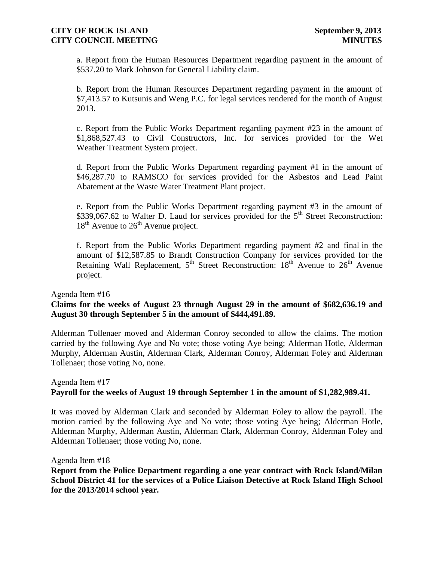a. Report from the Human Resources Department regarding payment in the amount of \$537.20 to Mark Johnson for General Liability claim.

b. Report from the Human Resources Department regarding payment in the amount of \$7,413.57 to Kutsunis and Weng P.C. for legal services rendered for the month of August 2013.

c. Report from the Public Works Department regarding payment #23 in the amount of \$1,868,527.43 to Civil Constructors, Inc. for services provided for the Wet Weather Treatment System project.

d. Report from the Public Works Department regarding payment #1 in the amount of \$46,287.70 to RAMSCO for services provided for the Asbestos and Lead Paint Abatement at the Waste Water Treatment Plant project.

e. Report from the Public Works Department regarding payment #3 in the amount of  $$339,067.62$  to Walter D. Laud for services provided for the 5<sup>th</sup> Street Reconstruction:  $18<sup>th</sup>$  Avenue to  $26<sup>th</sup>$  Avenue project.

f. Report from the Public Works Department regarding payment #2 and final in the amount of \$12,587.85 to Brandt Construction Company for services provided for the Retaining Wall Replacement,  $5<sup>th</sup>$  Street Reconstruction:  $18<sup>th</sup>$  Avenue to  $26<sup>th</sup>$  Avenue project.

Agenda Item #16

## **Claims for the weeks of August 23 through August 29 in the amount of \$682,636.19 and August 30 through September 5 in the amount of \$444,491.89.**

Alderman Tollenaer moved and Alderman Conroy seconded to allow the claims. The motion carried by the following Aye and No vote; those voting Aye being; Alderman Hotle, Alderman Murphy, Alderman Austin, Alderman Clark, Alderman Conroy, Alderman Foley and Alderman Tollenaer; those voting No, none.

# Agenda Item #17 **Payroll for the weeks of August 19 through September 1 in the amount of \$1,282,989.41.**

It was moved by Alderman Clark and seconded by Alderman Foley to allow the payroll. The motion carried by the following Aye and No vote; those voting Aye being; Alderman Hotle, Alderman Murphy, Alderman Austin, Alderman Clark, Alderman Conroy, Alderman Foley and Alderman Tollenaer; those voting No, none.

Agenda Item #18

**Report from the Police Department regarding a one year contract with Rock Island/Milan School District 41 for the services of a Police Liaison Detective at Rock Island High School for the 2013/2014 school year.**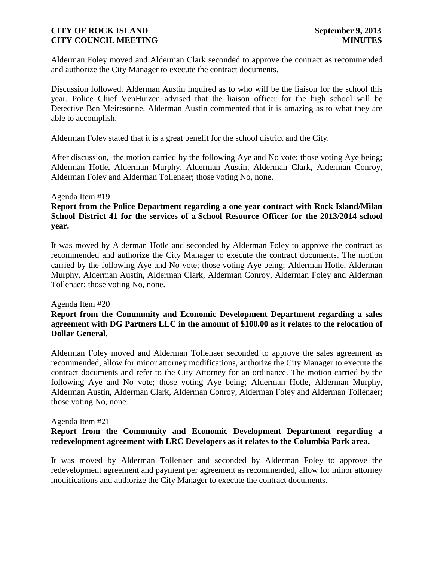Alderman Foley moved and Alderman Clark seconded to approve the contract as recommended and authorize the City Manager to execute the contract documents.

Discussion followed. Alderman Austin inquired as to who will be the liaison for the school this year. Police Chief VenHuizen advised that the liaison officer for the high school will be Detective Ben Meiresonne. Alderman Austin commented that it is amazing as to what they are able to accomplish.

Alderman Foley stated that it is a great benefit for the school district and the City.

After discussion, the motion carried by the following Aye and No vote; those voting Aye being; Alderman Hotle, Alderman Murphy, Alderman Austin, Alderman Clark, Alderman Conroy, Alderman Foley and Alderman Tollenaer; those voting No, none.

### Agenda Item #19

## **Report from the Police Department regarding a one year contract with Rock Island/Milan School District 41 for the services of a School Resource Officer for the 2013/2014 school year.**

It was moved by Alderman Hotle and seconded by Alderman Foley to approve the contract as recommended and authorize the City Manager to execute the contract documents. The motion carried by the following Aye and No vote; those voting Aye being; Alderman Hotle, Alderman Murphy, Alderman Austin, Alderman Clark, Alderman Conroy, Alderman Foley and Alderman Tollenaer; those voting No, none.

#### Agenda Item #20

## **Report from the Community and Economic Development Department regarding a sales agreement with DG Partners LLC in the amount of \$100.00 as it relates to the relocation of Dollar General.**

Alderman Foley moved and Alderman Tollenaer seconded to approve the sales agreement as recommended, allow for minor attorney modifications, authorize the City Manager to execute the contract documents and refer to the City Attorney for an ordinance. The motion carried by the following Aye and No vote; those voting Aye being; Alderman Hotle, Alderman Murphy, Alderman Austin, Alderman Clark, Alderman Conroy, Alderman Foley and Alderman Tollenaer; those voting No, none.

#### Agenda Item #21

## **Report from the Community and Economic Development Department regarding a redevelopment agreement with LRC Developers as it relates to the Columbia Park area.**

It was moved by Alderman Tollenaer and seconded by Alderman Foley to approve the redevelopment agreement and payment per agreement as recommended, allow for minor attorney modifications and authorize the City Manager to execute the contract documents.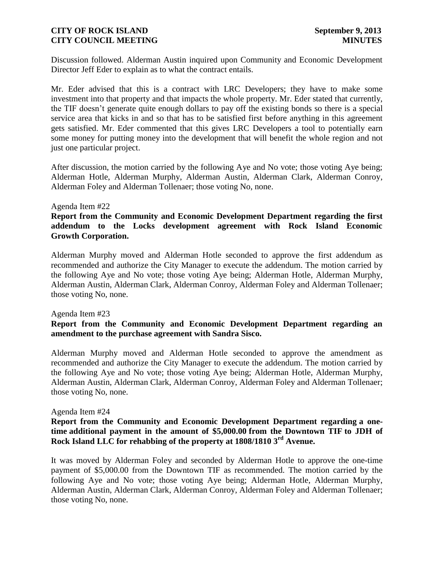Discussion followed. Alderman Austin inquired upon Community and Economic Development Director Jeff Eder to explain as to what the contract entails.

Mr. Eder advised that this is a contract with LRC Developers; they have to make some investment into that property and that impacts the whole property. Mr. Eder stated that currently, the TIF doesn't generate quite enough dollars to pay off the existing bonds so there is a special service area that kicks in and so that has to be satisfied first before anything in this agreement gets satisfied. Mr. Eder commented that this gives LRC Developers a tool to potentially earn some money for putting money into the development that will benefit the whole region and not just one particular project.

After discussion, the motion carried by the following Aye and No vote; those voting Aye being; Alderman Hotle, Alderman Murphy, Alderman Austin, Alderman Clark, Alderman Conroy, Alderman Foley and Alderman Tollenaer; those voting No, none.

#### Agenda Item #22

**Report from the Community and Economic Development Department regarding the first addendum to the Locks development agreement with Rock Island Economic Growth Corporation.**

Alderman Murphy moved and Alderman Hotle seconded to approve the first addendum as recommended and authorize the City Manager to execute the addendum. The motion carried by the following Aye and No vote; those voting Aye being; Alderman Hotle, Alderman Murphy, Alderman Austin, Alderman Clark, Alderman Conroy, Alderman Foley and Alderman Tollenaer; those voting No, none.

#### Agenda Item #23

## **Report from the Community and Economic Development Department regarding an amendment to the purchase agreement with Sandra Sisco.**

Alderman Murphy moved and Alderman Hotle seconded to approve the amendment as recommended and authorize the City Manager to execute the addendum. The motion carried by the following Aye and No vote; those voting Aye being; Alderman Hotle, Alderman Murphy, Alderman Austin, Alderman Clark, Alderman Conroy, Alderman Foley and Alderman Tollenaer; those voting No, none.

#### Agenda Item #24

## **Report from the Community and Economic Development Department regarding a onetime additional payment in the amount of \$5,000.00 from the Downtown TIF to JDH of Rock Island LLC for rehabbing of the property at 1808/1810 3rd Avenue.**

It was moved by Alderman Foley and seconded by Alderman Hotle to approve the one-time payment of \$5,000.00 from the Downtown TIF as recommended. The motion carried by the following Aye and No vote; those voting Aye being; Alderman Hotle, Alderman Murphy, Alderman Austin, Alderman Clark, Alderman Conroy, Alderman Foley and Alderman Tollenaer; those voting No, none.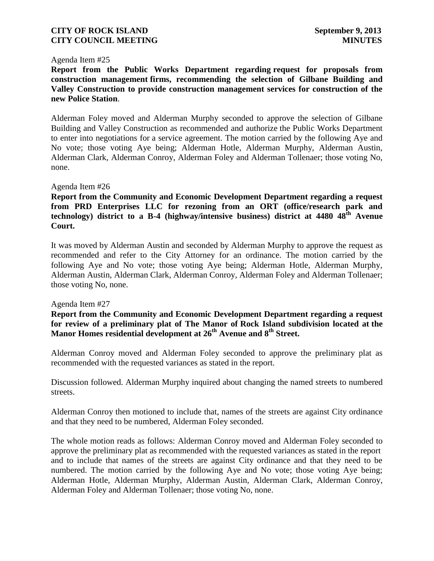#### Agenda Item #25

**Report from the Public Works Department regarding request for proposals from construction management firms, recommending the selection of Gilbane Building and Valley Construction to provide construction management services for construction of the new Police Station**.

Alderman Foley moved and Alderman Murphy seconded to approve the selection of Gilbane Building and Valley Construction as recommended and authorize the Public Works Department to enter into negotiations for a service agreement. The motion carried by the following Aye and No vote; those voting Aye being; Alderman Hotle, Alderman Murphy, Alderman Austin, Alderman Clark, Alderman Conroy, Alderman Foley and Alderman Tollenaer; those voting No, none.

### Agenda Item #26

**Report from the Community and Economic Development Department regarding a request from PRD Enterprises LLC for rezoning from an ORT (office/research park and technology) district to a B-4 (highway/intensive business) district at 4480 48th Avenue Court.**

It was moved by Alderman Austin and seconded by Alderman Murphy to approve the request as recommended and refer to the City Attorney for an ordinance. The motion carried by the following Aye and No vote; those voting Aye being; Alderman Hotle, Alderman Murphy, Alderman Austin, Alderman Clark, Alderman Conroy, Alderman Foley and Alderman Tollenaer; those voting No, none.

#### Agenda Item #27

**Report from the Community and Economic Development Department regarding a request for review of a preliminary plat of The Manor of Rock Island subdivision located at the Manor Homes residential development at 26th Avenue and 8th Street.**

Alderman Conroy moved and Alderman Foley seconded to approve the preliminary plat as recommended with the requested variances as stated in the report.

Discussion followed. Alderman Murphy inquired about changing the named streets to numbered streets.

Alderman Conroy then motioned to include that, names of the streets are against City ordinance and that they need to be numbered, Alderman Foley seconded.

The whole motion reads as follows: Alderman Conroy moved and Alderman Foley seconded to approve the preliminary plat as recommended with the requested variances as stated in the report and to include that names of the streets are against City ordinance and that they need to be numbered. The motion carried by the following Aye and No vote; those voting Aye being; Alderman Hotle, Alderman Murphy, Alderman Austin, Alderman Clark, Alderman Conroy, Alderman Foley and Alderman Tollenaer; those voting No, none.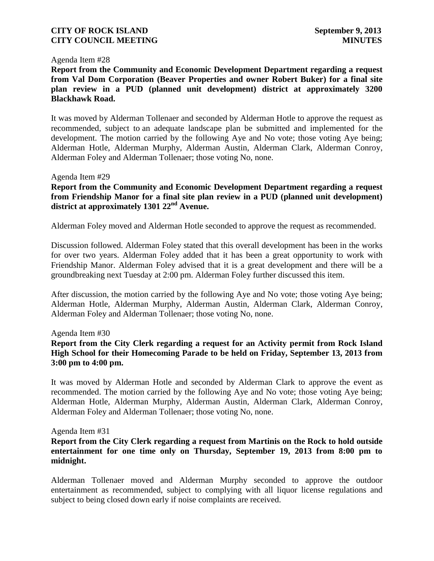#### Agenda Item #28

**Report from the Community and Economic Development Department regarding a request from Val Dom Corporation (Beaver Properties and owner Robert Buker) for a final site plan review in a PUD (planned unit development) district at approximately 3200 Blackhawk Road.**

It was moved by Alderman Tollenaer and seconded by Alderman Hotle to approve the request as recommended, subject to an adequate landscape plan be submitted and implemented for the development. The motion carried by the following Aye and No vote; those voting Aye being; Alderman Hotle, Alderman Murphy, Alderman Austin, Alderman Clark, Alderman Conroy, Alderman Foley and Alderman Tollenaer; those voting No, none.

### Agenda Item #29

**Report from the Community and Economic Development Department regarding a request from Friendship Manor for a final site plan review in a PUD (planned unit development) district at approximately 1301 22nd Avenue.** 

Alderman Foley moved and Alderman Hotle seconded to approve the request as recommended.

Discussion followed. Alderman Foley stated that this overall development has been in the works for over two years. Alderman Foley added that it has been a great opportunity to work with Friendship Manor. Alderman Foley advised that it is a great development and there will be a groundbreaking next Tuesday at 2:00 pm. Alderman Foley further discussed this item.

After discussion, the motion carried by the following Aye and No vote; those voting Aye being; Alderman Hotle, Alderman Murphy, Alderman Austin, Alderman Clark, Alderman Conroy, Alderman Foley and Alderman Tollenaer; those voting No, none.

#### Agenda Item #30

## **Report from the City Clerk regarding a request for an Activity permit from Rock Island High School for their Homecoming Parade to be held on Friday, September 13, 2013 from 3:00 pm to 4:00 pm.**

It was moved by Alderman Hotle and seconded by Alderman Clark to approve the event as recommended. The motion carried by the following Aye and No vote; those voting Aye being; Alderman Hotle, Alderman Murphy, Alderman Austin, Alderman Clark, Alderman Conroy, Alderman Foley and Alderman Tollenaer; those voting No, none.

#### Agenda Item #31

### **Report from the City Clerk regarding a request from Martinis on the Rock to hold outside entertainment for one time only on Thursday, September 19, 2013 from 8:00 pm to midnight.**

Alderman Tollenaer moved and Alderman Murphy seconded to approve the outdoor entertainment as recommended, subject to complying with all liquor license regulations and subject to being closed down early if noise complaints are received.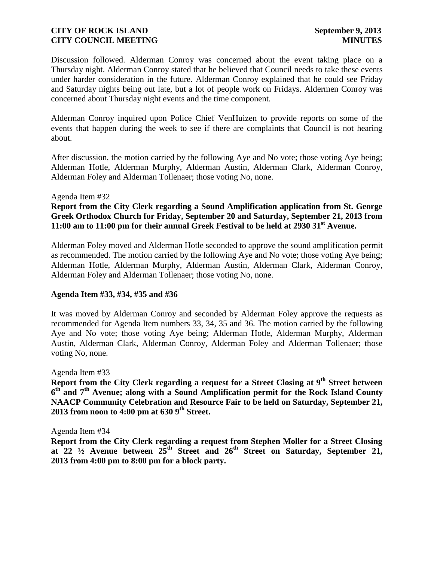Discussion followed. Alderman Conroy was concerned about the event taking place on a Thursday night. Alderman Conroy stated that he believed that Council needs to take these events under harder consideration in the future. Alderman Conroy explained that he could see Friday and Saturday nights being out late, but a lot of people work on Fridays. Aldermen Conroy was concerned about Thursday night events and the time component.

Alderman Conroy inquired upon Police Chief VenHuizen to provide reports on some of the events that happen during the week to see if there are complaints that Council is not hearing about.

After discussion, the motion carried by the following Aye and No vote; those voting Aye being; Alderman Hotle, Alderman Murphy, Alderman Austin, Alderman Clark, Alderman Conroy, Alderman Foley and Alderman Tollenaer; those voting No, none.

### Agenda Item #32

# **Report from the City Clerk regarding a Sound Amplification application from St. George Greek Orthodox Church for Friday, September 20 and Saturday, September 21, 2013 from 11:00 am to 11:00 pm for their annual Greek Festival to be held at 2930 31st Avenue.**

Alderman Foley moved and Alderman Hotle seconded to approve the sound amplification permit as recommended. The motion carried by the following Aye and No vote; those voting Aye being; Alderman Hotle, Alderman Murphy, Alderman Austin, Alderman Clark, Alderman Conroy, Alderman Foley and Alderman Tollenaer; those voting No, none.

### **Agenda Item #33, #34, #35 and #36**

It was moved by Alderman Conroy and seconded by Alderman Foley approve the requests as recommended for Agenda Item numbers 33, 34, 35 and 36. The motion carried by the following Aye and No vote; those voting Aye being; Alderman Hotle, Alderman Murphy, Alderman Austin, Alderman Clark, Alderman Conroy, Alderman Foley and Alderman Tollenaer; those voting No, none.

#### Agenda Item #33

**Report from the City Clerk regarding a request for a Street Closing at 9th Street between 6 th and 7th Avenue; along with a Sound Amplification permit for the Rock Island County NAACP Community Celebration and Resource Fair to be held on Saturday, September 21, 2013 from noon to 4:00 pm at 630 9th Street.**

Agenda Item #34

**Report from the City Clerk regarding a request from Stephen Moller for a Street Closing at 22 ½ Avenue between 25th Street and 26th Street on Saturday, September 21, 2013 from 4:00 pm to 8:00 pm for a block party.**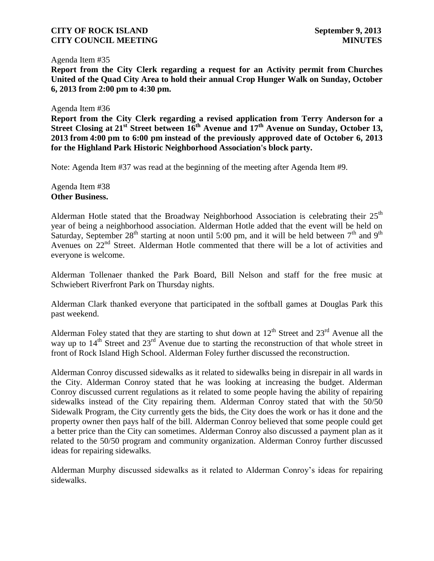#### Agenda Item #35

**Report from the City Clerk regarding a request for an Activity permit from Churches United of the Quad City Area to hold their annual Crop Hunger Walk on Sunday, October 6, 2013 from 2:00 pm to 4:30 pm.**

### Agenda Item #36

**Report from the City Clerk regarding a revised application from Terry Anderson for a Street Closing at 21st Street between 16th Avenue and 17th Avenue on Sunday, October 13, 2013 from 4:00 pm to 6:00 pm instead of the previously approved date of October 6, 2013 for the Highland Park Historic Neighborhood Association's block party.**

Note: Agenda Item #37 was read at the beginning of the meeting after Agenda Item #9.

Agenda Item #38 **Other Business.**

Alderman Hotle stated that the Broadway Neighborhood Association is celebrating their  $25<sup>th</sup>$ year of being a neighborhood association. Alderman Hotle added that the event will be held on Saturday, September  $28<sup>th</sup>$  starting at noon until 5:00 pm, and it will be held between  $7<sup>th</sup>$  and  $9<sup>th</sup>$ Avenues on  $22<sup>nd</sup>$  Street. Alderman Hotle commented that there will be a lot of activities and everyone is welcome.

Alderman Tollenaer thanked the Park Board, Bill Nelson and staff for the free music at Schwiebert Riverfront Park on Thursday nights.

Alderman Clark thanked everyone that participated in the softball games at Douglas Park this past weekend.

Alderman Foley stated that they are starting to shut down at  $12<sup>th</sup>$  Street and  $23<sup>rd</sup>$  Avenue all the way up to  $14<sup>th</sup>$  Street and  $23<sup>rd</sup>$  Avenue due to starting the reconstruction of that whole street in front of Rock Island High School. Alderman Foley further discussed the reconstruction.

Alderman Conroy discussed sidewalks as it related to sidewalks being in disrepair in all wards in the City. Alderman Conroy stated that he was looking at increasing the budget. Alderman Conroy discussed current regulations as it related to some people having the ability of repairing sidewalks instead of the City repairing them. Alderman Conroy stated that with the 50/50 Sidewalk Program, the City currently gets the bids, the City does the work or has it done and the property owner then pays half of the bill. Alderman Conroy believed that some people could get a better price than the City can sometimes. Alderman Conroy also discussed a payment plan as it related to the 50/50 program and community organization. Alderman Conroy further discussed ideas for repairing sidewalks.

Alderman Murphy discussed sidewalks as it related to Alderman Conroy's ideas for repairing sidewalks.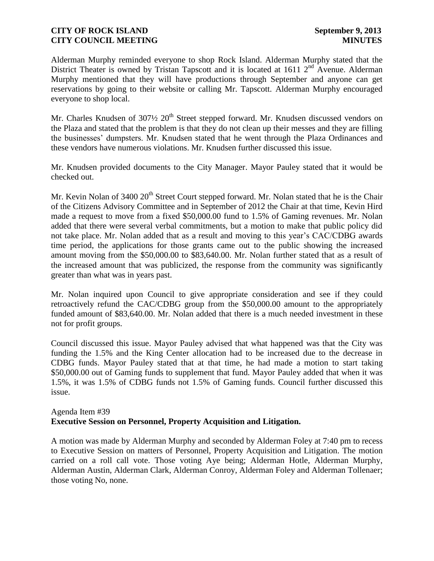Alderman Murphy reminded everyone to shop Rock Island. Alderman Murphy stated that the District Theater is owned by Tristan Tapscott and it is located at 1611  $2<sup>nd</sup>$  Avenue. Alderman Murphy mentioned that they will have productions through September and anyone can get reservations by going to their website or calling Mr. Tapscott. Alderman Murphy encouraged everyone to shop local.

Mr. Charles Knudsen of  $307\frac{1}{2}$   $20<sup>th</sup>$  Street stepped forward. Mr. Knudsen discussed vendors on the Plaza and stated that the problem is that they do not clean up their messes and they are filling the businesses' dumpsters. Mr. Knudsen stated that he went through the Plaza Ordinances and these vendors have numerous violations. Mr. Knudsen further discussed this issue.

Mr. Knudsen provided documents to the City Manager. Mayor Pauley stated that it would be checked out.

Mr. Kevin Nolan of 3400  $20<sup>th</sup>$  Street Court stepped forward. Mr. Nolan stated that he is the Chair of the Citizens Advisory Committee and in September of 2012 the Chair at that time, Kevin Hird made a request to move from a fixed \$50,000.00 fund to 1.5% of Gaming revenues. Mr. Nolan added that there were several verbal commitments, but a motion to make that public policy did not take place. Mr. Nolan added that as a result and moving to this year's CAC/CDBG awards time period, the applications for those grants came out to the public showing the increased amount moving from the \$50,000.00 to \$83,640.00. Mr. Nolan further stated that as a result of the increased amount that was publicized, the response from the community was significantly greater than what was in years past.

Mr. Nolan inquired upon Council to give appropriate consideration and see if they could retroactively refund the CAC/CDBG group from the \$50,000.00 amount to the appropriately funded amount of \$83,640.00. Mr. Nolan added that there is a much needed investment in these not for profit groups.

Council discussed this issue. Mayor Pauley advised that what happened was that the City was funding the 1.5% and the King Center allocation had to be increased due to the decrease in CDBG funds. Mayor Pauley stated that at that time, he had made a motion to start taking \$50,000.00 out of Gaming funds to supplement that fund. Mayor Pauley added that when it was 1.5%, it was 1.5% of CDBG funds not 1.5% of Gaming funds. Council further discussed this issue.

# Agenda Item #39 **Executive Session on Personnel, Property Acquisition and Litigation.**

A motion was made by Alderman Murphy and seconded by Alderman Foley at 7:40 pm to recess to Executive Session on matters of Personnel, Property Acquisition and Litigation. The motion carried on a roll call vote. Those voting Aye being; Alderman Hotle, Alderman Murphy, Alderman Austin, Alderman Clark, Alderman Conroy, Alderman Foley and Alderman Tollenaer; those voting No, none.